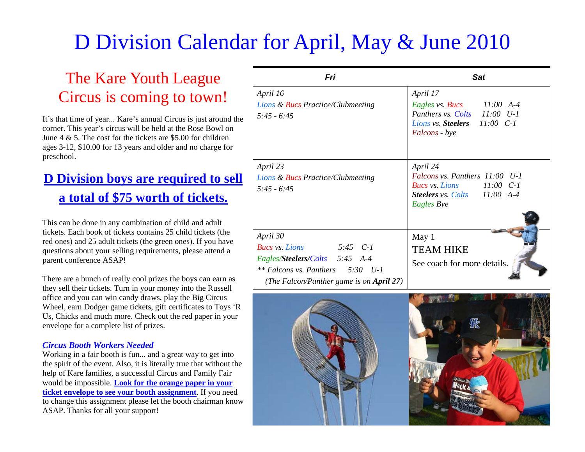## D Division Calendar for April, May & June 2010

## The Kare Youth League Circus is coming to town!

It's that time of year... Kare's annual Circus is just around the corner. This year's circus will be held at the Rose Bowl on June  $4 \& 5$ . The cost for the tickets are \$5.00 for children ages 3-12, \$10.00 for 13 years and older and no charge for preschool.

## **D Division boys are required to sell a total of \$75 worth of tickets.**

This can be done in any combination of child and adult tickets. Each book of tickets contains 25 child tickets (the red ones) and 25 adult tickets (the green ones). If you have questions about your selling requirements, please attend a parent conference ASAP!

There are a bunch of really cool prizes the boys can earn as they sell their tickets. Turn in your money into the Russell office and you can win candy draws, play the Big Circus Wheel, earn Dodger game tickets, gift certificates to Toys 'R Us, Chicks and much more. Check out the red paper in your envelope for a complete list of prizes.

## *Circus Booth Workers Needed*

Working in a fair booth is fun... and a great way to get into the spirit of the event. Also, it is literally true that without the help of Kare families, a successful Circus and Family Fair would be impossible. **Look for the orange paper in your ticket envelope to see your booth assignment**. If you need to change this assignment please let the booth chairman know ASAP. Thanks for all your support!

| Fri                                                                                                                                                                     | <b>Sat</b>                                                                                                                                                                                                                                                         |  |
|-------------------------------------------------------------------------------------------------------------------------------------------------------------------------|--------------------------------------------------------------------------------------------------------------------------------------------------------------------------------------------------------------------------------------------------------------------|--|
| April 16<br>Lions & Bucs Practice/Clubmeeting<br>$5.45 - 6.45$<br>April 23<br>Lions & Bucs Practice/Clubmeeting<br>$5:45 - 6:45$                                        | April 17<br>Eagles vs. Bucs $11:00$ A-4<br>Panthers vs. Colts 11:00 U-1<br>Lions vs. Steelers 11:00 C-1<br>Falcons - bye<br>April 24<br>Falcons vs. Panthers 11:00 U-1<br>Bucs vs. Lions $11:00 \text{ } C-1$<br><b>Steelers</b> vs. Colts 11:00 A-4<br>Eagles Bye |  |
| April 30<br>$5:45$ $C-1$<br><b>Bucs vs.</b> Lions<br>Eagles/Steelers/Colts 5:45 A-4<br>$**$ Falcons vs. Panthers $5:30$ U-1<br>(The Falcon/Panther game is on April 27) | May 1<br><b>TEAM HIKE</b><br>See coach for more details.                                                                                                                                                                                                           |  |